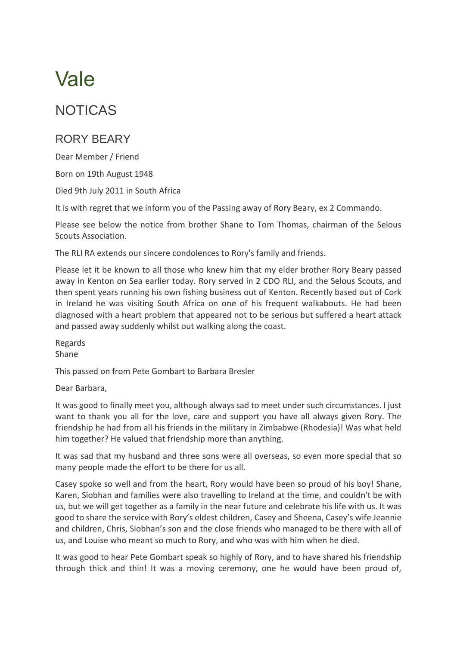## Vale

## NOTICAS

## RORY BEARY

Dear Member / Friend

Born on 19th August 1948

Died 9th July 2011 in South Africa

It is with regret that we inform you of the Passing away of Rory Beary, ex 2 Commando.

Please see below the notice from brother Shane to Tom Thomas, chairman of the Selous Scouts Association.

The RLI RA extends our sincere condolences to Rory's family and friends.

Please let it be known to all those who knew him that my elder brother Rory Beary passed away in Kenton on Sea earlier today. Rory served in 2 CDO RLI, and the Selous Scouts, and then spent years running his own fishing business out of Kenton. Recently based out of Cork in Ireland he was visiting South Africa on one of his frequent walkabouts. He had been diagnosed with a heart problem that appeared not to be serious but suffered a heart attack and passed away suddenly whilst out walking along the coast.

Regards Shane

This passed on from Pete Gombart to Barbara Bresler

Dear Barbara,

It was good to finally meet you, although always sad to meet under such circumstances. I just want to thank you all for the love, care and support you have all always given Rory. The friendship he had from all his friends in the military in Zimbabwe (Rhodesia)! Was what held him together? He valued that friendship more than anything.

It was sad that my husband and three sons were all overseas, so even more special that so many people made the effort to be there for us all.

Casey spoke so well and from the heart, Rory would have been so proud of his boy! Shane, Karen, Siobhan and families were also travelling to Ireland at the time, and couldn't be with us, but we will get together as a family in the near future and celebrate his life with us. It was good to share the service with Rory's eldest children, Casey and Sheena, Casey's wife Jeannie and children, Chris, Siobhan's son and the close friends who managed to be there with all of us, and Louise who meant so much to Rory, and who was with him when he died.

It was good to hear Pete Gombart speak so highly of Rory, and to have shared his friendship through thick and thin! It was a moving ceremony, one he would have been proud of,